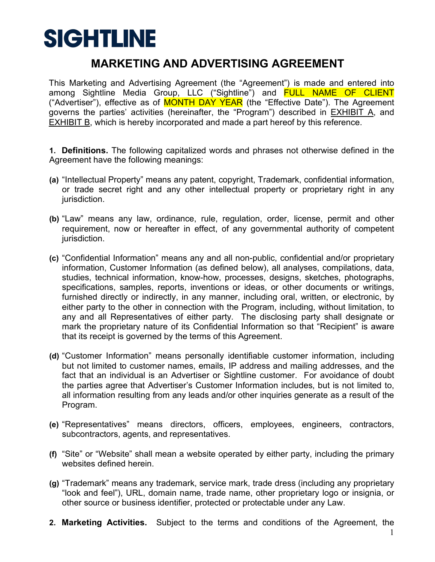### **MARKETING AND ADVERTISING AGREEMENT**

This Marketing and Advertising Agreement (the "Agreement") is made and entered into among Sightline Media Group, LLC ("Sightline") and FULL NAME OF CLIENT ("Advertiser"), effective as of **MONTH DAY YEAR** (the "Effective Date"). The Agreement governs the parties' activities (hereinafter, the "Program") described in **EXHIBIT A**, and EXHIBIT B, which is hereby incorporated and made a part hereof by this reference.

**1. Definitions.** The following capitalized words and phrases not otherwise defined in the Agreement have the following meanings:

- **(a)** "Intellectual Property" means any patent, copyright, Trademark, confidential information, or trade secret right and any other intellectual property or proprietary right in any jurisdiction.
- **(b)** "Law" means any law, ordinance, rule, regulation, order, license, permit and other requirement, now or hereafter in effect, of any governmental authority of competent jurisdiction.
- **(c)** "Confidential Information" means any and all non-public, confidential and/or proprietary information, Customer Information (as defined below), all analyses, compilations, data, studies, technical information, know-how, processes, designs, sketches, photographs, specifications, samples, reports, inventions or ideas, or other documents or writings, furnished directly or indirectly, in any manner, including oral, written, or electronic, by either party to the other in connection with the Program, including, without limitation, to any and all Representatives of either party. The disclosing party shall designate or mark the proprietary nature of its Confidential Information so that "Recipient" is aware that its receipt is governed by the terms of this Agreement.
- **(d)** "Customer Information" means personally identifiable customer information, including but not limited to customer names, emails, IP address and mailing addresses, and the fact that an individual is an Advertiser or Sightline customer. For avoidance of doubt the parties agree that Advertiser's Customer Information includes, but is not limited to, all information resulting from any leads and/or other inquiries generate as a result of the Program.
- **(e)** "Representatives" means directors, officers, employees, engineers, contractors, subcontractors, agents, and representatives.
- **(f)** "Site" or "Website" shall mean a website operated by either party, including the primary websites defined herein.
- **(g)** "Trademark" means any trademark, service mark, trade dress (including any proprietary "look and feel"), URL, domain name, trade name, other proprietary logo or insignia, or other source or business identifier, protected or protectable under any Law.
- **2. Marketing Activities.** Subject to the terms and conditions of the Agreement, the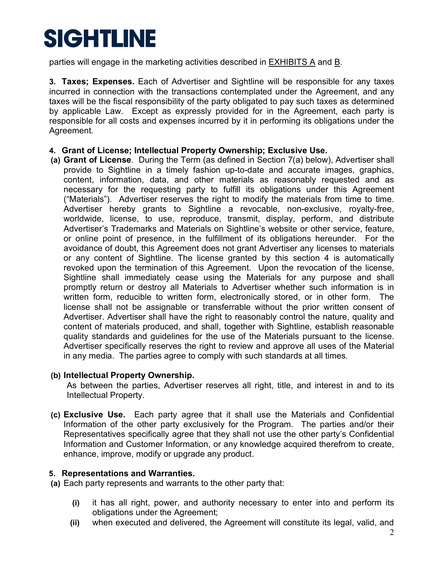parties will engage in the marketing activities described in **EXHIBITS A** and **B**.

**3. Taxes; Expenses.** Each of Advertiser and Sightline will be responsible for any taxes incurred in connection with the transactions contemplated under the Agreement, and any taxes will be the fiscal responsibility of the party obligated to pay such taxes as determined by applicable Law. Except as expressly provided for in the Agreement, each party is responsible for all costs and expenses incurred by it in performing its obligations under the Agreement.

#### **4. Grant of License; Intellectual Property Ownership; Exclusive Use.**

**(a) Grant of License**. During the Term (as defined in Section 7(a) below), Advertiser shall provide to Sightline in a timely fashion up-to-date and accurate images, graphics, content, information, data, and other materials as reasonably requested and as necessary for the requesting party to fulfill its obligations under this Agreement ("Materials"). Advertiser reserves the right to modify the materials from time to time. Advertiser hereby grants to Sightline a revocable, non-exclusive, royalty-free, worldwide, license, to use, reproduce, transmit, display, perform, and distribute Advertiser's Trademarks and Materials on Sightline's website or other service, feature, or online point of presence, in the fulfillment of its obligations hereunder. For the avoidance of doubt, this Agreement does not grant Advertiser any licenses to materials or any content of Sightline. The license granted by this section 4 is automatically revoked upon the termination of this Agreement. Upon the revocation of the license, Sightline shall immediately cease using the Materials for any purpose and shall promptly return or destroy all Materials to Advertiser whether such information is in written form, reducible to written form, electronically stored, or in other form. The license shall not be assignable or transferrable without the prior written consent of Advertiser. Advertiser shall have the right to reasonably control the nature, quality and content of materials produced, and shall, together with Sightline, establish reasonable quality standards and guidelines for the use of the Materials pursuant to the license. Advertiser specifically reserves the right to review and approve all uses of the Material in any media. The parties agree to comply with such standards at all times.

#### **(b) Intellectual Property Ownership.**

As between the parties, Advertiser reserves all right, title, and interest in and to its Intellectual Property.

**(c) Exclusive Use.** Each party agree that it shall use the Materials and Confidential Information of the other party exclusively for the Program. The parties and/or their Representatives specifically agree that they shall not use the other party's Confidential Information and Customer Information, or any knowledge acquired therefrom to create, enhance, improve, modify or upgrade any product.

#### **5. Representations and Warranties.**

**(a)** Each party represents and warrants to the other party that:

- **(i)** it has all right, power, and authority necessary to enter into and perform its obligations under the Agreement;
- **(ii)** when executed and delivered, the Agreement will constitute its legal, valid, and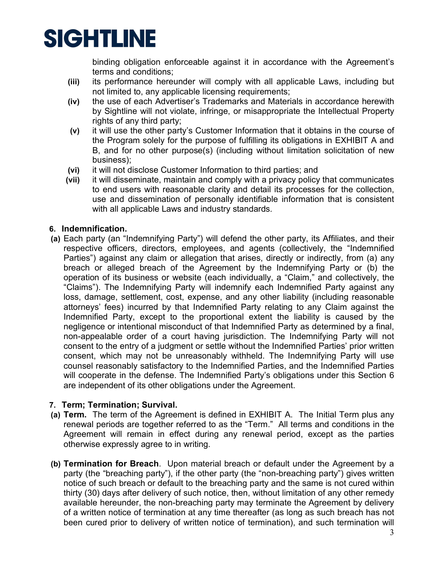

binding obligation enforceable against it in accordance with the Agreement's terms and conditions;

- **(iii)** its performance hereunder will comply with all applicable Laws, including but not limited to, any applicable licensing requirements;
- **(iv)** the use of each Advertiser's Trademarks and Materials in accordance herewith by Sightline will not violate, infringe, or misappropriate the Intellectual Property rights of any third party;
- **(v)** it will use the other party's Customer Information that it obtains in the course of the Program solely for the purpose of fulfilling its obligations in EXHIBIT A and B, and for no other purpose(s) (including without limitation solicitation of new business);
- **(vi)** it will not disclose Customer Information to third parties; and
- **(vii)** it will disseminate, maintain and comply with a privacy policy that communicates to end users with reasonable clarity and detail its processes for the collection, use and dissemination of personally identifiable information that is consistent with all applicable Laws and industry standards.

#### **6. Indemnification.**

**(a)** Each party (an "Indemnifying Party") will defend the other party, its Affiliates, and their respective officers, directors, employees, and agents (collectively, the "Indemnified Parties") against any claim or allegation that arises, directly or indirectly, from (a) any breach or alleged breach of the Agreement by the Indemnifying Party or (b) the operation of its business or website (each individually, a "Claim," and collectively, the "Claims"). The Indemnifying Party will indemnify each Indemnified Party against any loss, damage, settlement, cost, expense, and any other liability (including reasonable attorneys' fees) incurred by that Indemnified Party relating to any Claim against the Indemnified Party, except to the proportional extent the liability is caused by the negligence or intentional misconduct of that Indemnified Party as determined by a final, non-appealable order of a court having jurisdiction. The Indemnifying Party will not consent to the entry of a judgment or settle without the Indemnified Parties' prior written consent, which may not be unreasonably withheld. The Indemnifying Party will use counsel reasonably satisfactory to the Indemnified Parties, and the Indemnified Parties will cooperate in the defense. The Indemnified Party's obligations under this Section 6 are independent of its other obligations under the Agreement.

#### **7. Term; Termination; Survival.**

- **(a) Term.** The term of the Agreement is defined in EXHIBIT A. The Initial Term plus any renewal periods are together referred to as the "Term." All terms and conditions in the Agreement will remain in effect during any renewal period, except as the parties otherwise expressly agree to in writing.
- **(b) Termination for Breach**. Upon material breach or default under the Agreement by a party (the "breaching party"), if the other party (the "non-breaching party") gives written notice of such breach or default to the breaching party and the same is not cured within thirty (30) days after delivery of such notice, then, without limitation of any other remedy available hereunder, the non-breaching party may terminate the Agreement by delivery of a written notice of termination at any time thereafter (as long as such breach has not been cured prior to delivery of written notice of termination), and such termination will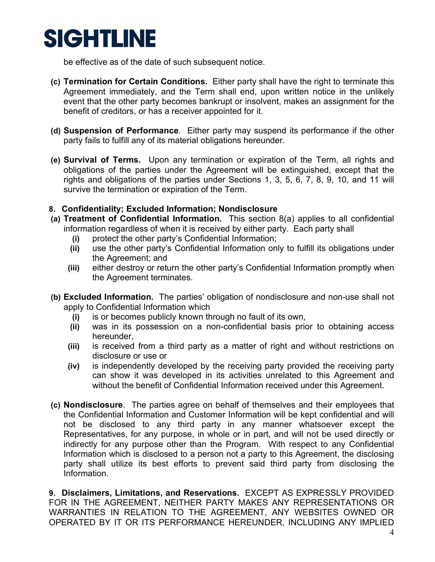be effective as of the date of such subsequent notice.

- **(c) Termination for Certain Conditions.** Either party shall have the right to terminate this Agreement immediately, and the Term shall end, upon written notice in the unlikely event that the other party becomes bankrupt or insolvent, makes an assignment for the benefit of creditors, or has a receiver appointed for it.
- **(d) Suspension of Performance**.Either party may suspend its performance if the other party fails to fulfill any of its material obligations hereunder.
- **(e) Survival of Terms.** Upon any termination or expiration of the Term, all rights and obligations of the parties under the Agreement will be extinguished, except that the rights and obligations of the parties under Sections 1, 3, 5, 6, 7, 8, 9, 10, and 11 will survive the termination or expiration of the Term.

#### **8. Confidentiality; Excluded Information; Nondisclosure**

- **(a) Treatment of Confidential Information.** This section 8(a) applies to all confidential information regardless of when it is received by either party. Each party shall
	- **(i)** protect the other party's Confidential Information;
	- **(ii)** use the other party's Confidential Information only to fulfill its obligations under the Agreement; and
	- **(iii)** either destroy or return the other party's Confidential Information promptly when the Agreement terminates.
- **(b) Excluded Information.** The parties' obligation of nondisclosure and non-use shall not apply to Confidential Information which
	- **(i)** is or becomes publicly known through no fault of its own,
	- **(ii)** was in its possession on a non-confidential basis prior to obtaining access hereunder,
	- **(iii)** is received from a third party as a matter of right and without restrictions on disclosure or use or
	- **(iv)** is independently developed by the receiving party provided the receiving party can show it was developed in its activities unrelated to this Agreement and without the benefit of Confidential Information received under this Agreement.
- **(c) Nondisclosure**. The parties agree on behalf of themselves and their employees that the Confidential Information and Customer Information will be kept confidential and will not be disclosed to any third party in any manner whatsoever except the Representatives, for any purpose, in whole or in part, and will not be used directly or indirectly for any purpose other than the Program. With respect to any Confidential Information which is disclosed to a person not a party to this Agreement, the disclosing party shall utilize its best efforts to prevent said third party from disclosing the Information.

**9. Disclaimers, Limitations, and Reservations.** EXCEPT AS EXPRESSLY PROVIDED FOR IN THE AGREEMENT, NEITHER PARTY MAKES ANY REPRESENTATIONS OR WARRANTIES IN RELATION TO THE AGREEMENT, ANY WEBSITES OWNED OR OPERATED BY IT OR ITS PERFORMANCE HEREUNDER, INCLUDING ANY IMPLIED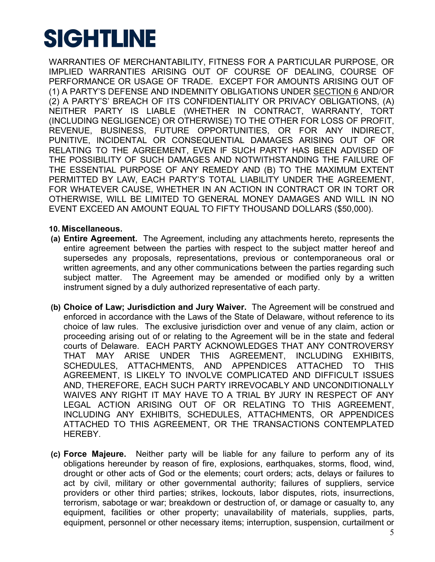WARRANTIES OF MERCHANTABILITY, FITNESS FOR A PARTICULAR PURPOSE, OR IMPLIED WARRANTIES ARISING OUT OF COURSE OF DEALING, COURSE OF PERFORMANCE OR USAGE OF TRADE. EXCEPT FOR AMOUNTS ARISING OUT OF (1) A PARTY'S DEFENSE AND INDEMNITY OBLIGATIONS UNDER SECTION 6 AND/OR (2) A PARTY'S' BREACH OF ITS CONFIDENTIALITY OR PRIVACY OBLIGATIONS, (A) NEITHER PARTY IS LIABLE (WHETHER IN CONTRACT, WARRANTY, TORT (INCLUDING NEGLIGENCE) OR OTHERWISE) TO THE OTHER FOR LOSS OF PROFIT, REVENUE, BUSINESS, FUTURE OPPORTUNITIES, OR FOR ANY INDIRECT, PUNITIVE, INCIDENTAL OR CONSEQUENTIAL DAMAGES ARISING OUT OF OR RELATING TO THE AGREEMENT, EVEN IF SUCH PARTY HAS BEEN ADVISED OF THE POSSIBILITY OF SUCH DAMAGES AND NOTWITHSTANDING THE FAILURE OF THE ESSENTIAL PURPOSE OF ANY REMEDY AND (B) TO THE MAXIMUM EXTENT PERMITTED BY LAW, EACH PARTY'S TOTAL LIABILITY UNDER THE AGREEMENT, FOR WHATEVER CAUSE, WHETHER IN AN ACTION IN CONTRACT OR IN TORT OR OTHERWISE, WILL BE LIMITED TO GENERAL MONEY DAMAGES AND WILL IN NO EVENT EXCEED AN AMOUNT EQUAL TO FIFTY THOUSAND DOLLARS (\$50,000).

#### **10. Miscellaneous.**

- **(a) Entire Agreement.** The Agreement, including any attachments hereto, represents the entire agreement between the parties with respect to the subject matter hereof and supersedes any proposals, representations, previous or contemporaneous oral or written agreements, and any other communications between the parties regarding such subject matter. The Agreement may be amended or modified only by a written instrument signed by a duly authorized representative of each party.
- **(b) Choice of Law; Jurisdiction and Jury Waiver.** The Agreement will be construed and enforced in accordance with the Laws of the State of Delaware, without reference to its choice of law rules. The exclusive jurisdiction over and venue of any claim, action or proceeding arising out of or relating to the Agreement will be in the state and federal courts of Delaware. EACH PARTY ACKNOWLEDGES THAT ANY CONTROVERSY THAT MAY ARISE UNDER THIS AGREEMENT, INCLUDING EXHIBITS, SCHEDULES, ATTACHMENTS, AND APPENDICES ATTACHED TO THIS AGREEMENT, IS LIKELY TO INVOLVE COMPLICATED AND DIFFICULT ISSUES AND, THEREFORE, EACH SUCH PARTY IRREVOCABLY AND UNCONDITIONALLY WAIVES ANY RIGHT IT MAY HAVE TO A TRIAL BY JURY IN RESPECT OF ANY LEGAL ACTION ARISING OUT OF OR RELATING TO THIS AGREEMENT, INCLUDING ANY EXHIBITS, SCHEDULES, ATTACHMENTS, OR APPENDICES ATTACHED TO THIS AGREEMENT, OR THE TRANSACTIONS CONTEMPLATED HEREBY.
- **(c) Force Majeure.** Neither party will be liable for any failure to perform any of its obligations hereunder by reason of fire, explosions, earthquakes, storms, flood, wind, drought or other acts of God or the elements; court orders; acts, delays or failures to act by civil, military or other governmental authority; failures of suppliers, service providers or other third parties; strikes, lockouts, labor disputes, riots, insurrections, terrorism, sabotage or war; breakdown or destruction of, or damage or casualty to, any equipment, facilities or other property; unavailability of materials, supplies, parts, equipment, personnel or other necessary items; interruption, suspension, curtailment or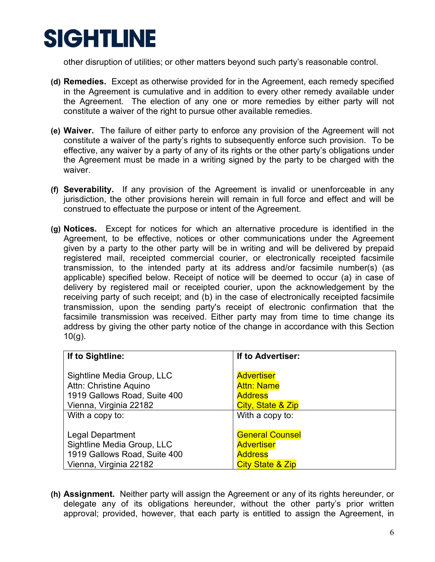other disruption of utilities; or other matters beyond such party's reasonable control.

- **(d) Remedies.** Except as otherwise provided for in the Agreement, each remedy specified in the Agreement is cumulative and in addition to every other remedy available under the Agreement. The election of any one or more remedies by either party will not constitute a waiver of the right to pursue other available remedies.
- **(e) Waiver.** The failure of either party to enforce any provision of the Agreement will not constitute a waiver of the party's rights to subsequently enforce such provision. To be effective, any waiver by a party of any of its rights or the other party's obligations under the Agreement must be made in a writing signed by the party to be charged with the waiver.
- **(f) Severability.** If any provision of the Agreement is invalid or unenforceable in any jurisdiction, the other provisions herein will remain in full force and effect and will be construed to effectuate the purpose or intent of the Agreement.
- **(g) Notices.** Except for notices for which an alternative procedure is identified in the Agreement, to be effective, notices or other communications under the Agreement given by a party to the other party will be in writing and will be delivered by prepaid registered mail, receipted commercial courier, or electronically receipted facsimile transmission, to the intended party at its address and/or facsimile number(s) (as applicable) specified below. Receipt of notice will be deemed to occur (a) in case of delivery by registered mail or receipted courier, upon the acknowledgement by the receiving party of such receipt; and (b) in the case of electronically receipted facsimile transmission, upon the sending party's receipt of electronic confirmation that the facsimile transmission was received. Either party may from time to time change its address by giving the other party notice of the change in accordance with this Section  $10(q)$ .

| If to Sightline:             | If to Advertiser:           |
|------------------------------|-----------------------------|
| Sightline Media Group, LLC   | <b>Advertiser</b>           |
| Attn: Christine Aquino       | <b>Attn: Name</b>           |
| 1919 Gallows Road, Suite 400 | <b>Address</b>              |
| Vienna, Virginia 22182       | City, State & Zip           |
| With a copy to:              | With a copy to:             |
| <b>Legal Department</b>      | <b>General Counsel</b>      |
| Sightline Media Group, LLC   | <b>Advertiser</b>           |
| 1919 Gallows Road, Suite 400 | <b>Address</b>              |
| Vienna, Virginia 22182       | <b>City State &amp; Zip</b> |

**(h) Assignment.** Neither party will assign the Agreement or any of its rights hereunder, or delegate any of its obligations hereunder, without the other party's prior written approval; provided, however, that each party is entitled to assign the Agreement, in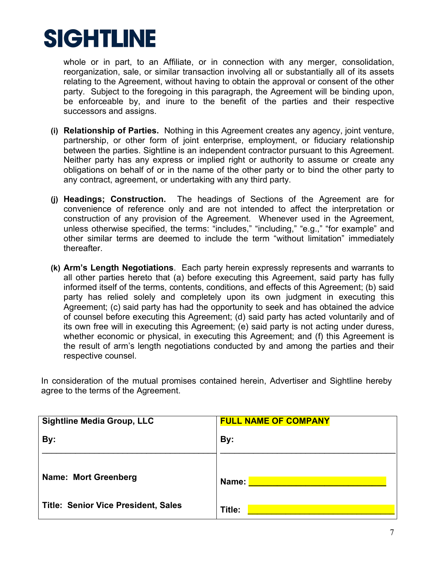

whole or in part, to an Affiliate, or in connection with any merger, consolidation, reorganization, sale, or similar transaction involving all or substantially all of its assets relating to the Agreement, without having to obtain the approval or consent of the other party. Subject to the foregoing in this paragraph, the Agreement will be binding upon, be enforceable by, and inure to the benefit of the parties and their respective successors and assigns.

- **(i) Relationship of Parties.** Nothing in this Agreement creates any agency, joint venture, partnership, or other form of joint enterprise, employment, or fiduciary relationship between the parties. Sightline is an independent contractor pursuant to this Agreement. Neither party has any express or implied right or authority to assume or create any obligations on behalf of or in the name of the other party or to bind the other party to any contract, agreement, or undertaking with any third party.
- **(j) Headings; Construction.** The headings of Sections of the Agreement are for convenience of reference only and are not intended to affect the interpretation or construction of any provision of the Agreement. Whenever used in the Agreement, unless otherwise specified, the terms: "includes," "including," "e.g.," "for example" and other similar terms are deemed to include the term "without limitation" immediately thereafter.
- **(k) Arm's Length Negotiations**. Each party herein expressly represents and warrants to all other parties hereto that (a) before executing this Agreement, said party has fully informed itself of the terms, contents, conditions, and effects of this Agreement; (b) said party has relied solely and completely upon its own judgment in executing this Agreement; (c) said party has had the opportunity to seek and has obtained the advice of counsel before executing this Agreement; (d) said party has acted voluntarily and of its own free will in executing this Agreement; (e) said party is not acting under duress, whether economic or physical, in executing this Agreement; and (f) this Agreement is the result of arm's length negotiations conducted by and among the parties and their respective counsel.

In consideration of the mutual promises contained herein, Advertiser and Sightline hereby agree to the terms of the Agreement.

| <b>Sightline Media Group, LLC</b>          | <b>FULL NAME OF COMPANY</b> |
|--------------------------------------------|-----------------------------|
| By:                                        | By:                         |
| <b>Name: Mort Greenberg</b>                | Name:                       |
| <b>Title: Senior Vice President, Sales</b> | Title:                      |